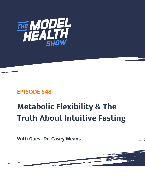

## **EPISODE 548**

# **Metabolic Flexibility & The Truth About Intuitive Fasting**

**With Guest Dr. Casey Means**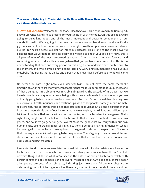### **You are now listening to The Model Health Show with Shawn Stevenson. For more, visit themodelhealthshow.com.**

**SHAWN STEVENSON:** Welcome to The Model Health Show. This is fitness and nutrition expert, Shawn Stevenson, and I'm so grateful for you tuning in with me today. On this episode, we're going to be talking about one of the most important and powerful components of our metabolic health. We're going to be doing a master class on blood sugar, and specifically glycemic variability, how this impacts our body weight, how this impacts our insulin sensitivity, our risk for heart disease, our risk for infectious diseases. This is one of the most powerful episodes that we've done to date. It's really, really going to knock your socks off. Now, this is all part of one of the most empowering facets of human health moving forward, and something for you to take with you everywhere that you go, from here on out. And this is the understanding that each and every person on earth right now, and who's ever existed prior to this moment, and who is ever going to come later on. Every single human being has a unique metabolic fingerprint that is unlike any person that is ever lived before us or who will come after.

No person on earth right now, even identical twins, do not have the same metabolic fingerprint. And there are many different factors that make up our metabolic uniqueness, one of those being our microbiome, our microbial fingerprint. The cascade of microbes that we have is completely unique to us. Now, being within the same household as somebody, you are definitely going to have a more similar microbiome. And there's even new data indicating how our microbial health influences our relationships with other people, namely in our intimate relationships. And so, our microbial health is affecting so much about us, and a big part of that is because every single one of our bacteria that we're carrying, the trillions and trillions upon trillions of bacteria that we have in and on our bodies, each bacteria has its own genes. That's right. Every single one of the trillions of bacteria cells that we have in our bodies has their own genes. And so, if we go gene for gene, over 99% of the genes that we carry within our own human entity are microbial genes, all right? So, they're definitely having influence on what's happening with our bodies, all the way down to the genetic code. And the spectrum of bacteria that we carry as an individual is going to be unique to us. There's going to be a ratio of different classes of bacteria. For example, two of the classes that are kind of the most popular are Firmicutes and Bacteroidetes.

Firmicutes tend to be more associated with weight gain, with insulin resistance, whereas the Bacteroidetes are more associated with insulin sensitivity and leanness. Now, this isn't a black or white thing, but this is what we've seen in the data, that certain bacteria correlate with certain ranges of body composition and overall metabolic health. And so again, there's paper after paper, reference after reference, indicating just how powerful our microbes are in [determining the out picturing of our health overall, whether it](https://themodelhealthshow.com/podcasts/dr-casey-means/)'[s our metabolic health and our](https://themodelhealthshow.com/podcasts/dr-casey-means/)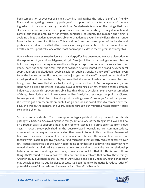body composition or even our brain health. And so having a healthy ratio of beneficial, friendly flora, and not getting overrun by pathogenic or opportunistic bacteria, is one of the key ingredients in having a healthy metabolism. So dysbiosis is one of the things that has skyrocketed in recent years where opportunistic bacteria are starting to really dominate and control our microbiome. Now, for myself, personally, of course, the number one thing is avoiding things that damage your microbiome, that damage your friendly flora. This can range from haphazard use of antibiotics. This could be from the consumption of herbicides and pesticides or rodenticides that all are now scientifically documented to be detrimental to our healthy micro. Specifically, one of the most popular pesticides in recent years is chlorpyrifos.

Now we have peer-reviewed evidence that chlorpyrifos has been found to cause disruption in the expression of your microbial genes, all right? Not just killing or damaging your microbiome but disrupting and creating abnormalities with gene expression of your microbes. Not that good. That's not good. And again, this stuff has been newly invented. It's a brand-new chemical soup. Cauldron, bubble, double, double, cauldron, bubble trouble. It's new stuff. We don't even know the long-term ramifications, and we're just getting this stuff sprayed on our food as if it's all good. And then we have to try to prove that it's harmful instead of the manufacturer being forced to prove that it is actually healthy, or at least inert. And so, again, our system right now is a little bit twisted, but, again, avoiding things like that, avoiding other common influences that can disrupt your microbial health and cause dysbiosis. Even over-consumption of things like chlorine. And I know you're not like, "Well, I'm... Let me get a sip of that Clorox. Let me get a sip of that bleach I heard is good for killing viruses." I know you're not that person. Well, we've got a pretty ample amount, if we go and look at how it starts to compile over the days, the weeks, the months, the years, coming through our municipal water supply. You're consuming chlorine.

So, these are all indicated. The consumption of hyper-palatable, ultra-processed foods feeds pathogenic bacteria. So, avoiding those things. But also, one of the things that I love and I do on a regular basis to support a healthy microbiome cascade is, I drink pu'er tea from Pique Teas. A recent study published in the peer-reviewed journal, Nature Communications, uncovered that a unique compound called theabrownin found in this traditional fermented tea, pu'er, has some remarkable effects on our microbiome. The researchers found that theabrownin is able to positively alter our gut microbiota that directly reduces excessive liver fat. Reduces lipogenesis of the liver. You're going to understand today in this interview how remarkable this is, all right? Because we're going to be talking about the liver in relationship to fat creation and blood sugar and more, so keep an ear out for that. But this is one of those things that's found to have a positive influence on the microbiota that control these things. Another study published in the Journal of Agriculture and Food Chemistry found that pu'er may be able to reverse gut dysbiosis, because it's been found to dramatically reduce ratios of [potentially harmful bacteria and increase ratios of beneficial bacteria.](https://themodelhealthshow.com/podcasts/dr-casey-means/)

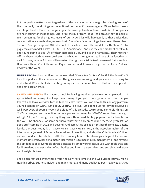But the quality matters a lot. Regardless of the tea type that you might be drinking, some of the commonly found things in conventional teas, even if they're organic: Microplastics, heavy metals, pesticides. Even if it's organic, just the cross-pollination. Toxic molds. Most companies are not testing for these things. But I drink the pu'er from Pique Tea because they do a triple toxin screening for the highest levels of purity. And it's wild harvested, so that antioxidant concentration is even higher, more robust. One of my favorite things. Head over there, check 'em out. You get a special 10% discount. It's exclusive with the Model Health Show. Go to piquetea.com/model. That's P-I-Q-U-E-T-E-A.com/model. And use the code model at check out, and you're going to get 10% off their incredible pu'er, and also their amazing... Their matcha? Off the charts. Nothing else could even touch it. And their ginger tea is one of my favorites as well. So many wonderful teas, all harvested the right way, triple toxin screened, just amazing. Head over there. Check them out. Piquetea.com/model. Now let's get to the Apple Podcast Review of the Week.

**ITUNES REVIEW:** Another five-star review titled, "Keeps Me On Track" by PinkFlamingo823. "I love this podcast. It's so informative. The guests are amazing, and your voice is so easy to understand. When I feel like cheating on my diet or feel unmotivated, I listen to an episode, and I get back on track."

**SHAWN STEVENSON:** Thank you so much for leaving me that review over on Apple Podcast. I appreciate it immensely. And keep them coming. If you get to do so, please pop over to Apple Podcast and leave a review for the Model Health Show. You can also do this on any platform you're listening on with... Just about. Spotify, I believe, just opened up for leaving reviews as well. Pop over, of course. Watch the video of this episode. We're doing some big things on YouTube. We just got the notice that our plaque is coming for 100,000 subscribers. Let's go. All right? So, we're doing some big things over there, so definitely pop over and subscribe on the YouTube channel. Got some exclusive stuff that's only on YouTube there. So yeah, lots of good stuff coming in 2022 and beyond. And listen, this episode right here? Timeless, classic, iconic. Our guest today is Dr. Casey Means. Casey Means, MD, is the Associate Editor of the International Journal of Disease Reversal and Prevention, and also the Chief Medical Officer and co-founder of Metabolic Health, the company Levels. She also regularly guest lectures at Stanford University, her alma mater. Her mission is to maximize human potential and reverse the epidemics of preventable chronic disease by empowering individuals with tools that can facilitate deep understanding of our bodies and inform personalized and sustainable dietary and lifestyle choices.

She's been featured everywhere from the New York Times to the Wall Street Journal, Men's Health, Forbes, Business Insider, and many more, and many published peer-reviewed articles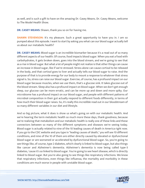as well, and is such a gift to have on the amazing Dr. Casey Means. Dr. Casey Means, welcome to The Model Health Show.

**DR. CASEY MEANS:** Shawn, thank you so on for having me.

**SHAWN STEVENSON:** It's my pleasure. Such a great opportunity to have you in. I am so pumped about this episode. I want to start by asking you what can our blood sugar actually tell us about our metabolic health?

**DR. CASEY MEANS:** Blood sugar is an incredible biomarker because it's a read out of so many different aspects of our health. Of course, food impacts blood sugar. When you eat a food with carbohydrates, it gets broken down, goes into the blood stream, and we're going to see that as a rise in blood sugar. But what a lot of people might not realize is that other things can cause an increase in blood sugar, like if we're stressed. Stress alone can cause cortisol to be released in the body, and that cortisol goes to liver and actually tells our blood sugar to raise. And the purpose of that is to provide energy for our body to mount a response to whatever that stress signal is. So, stress can raise our blood sugar. Exercise, of course, has a profound impact on our blood sugar because muscles, when we use them, that's a glucose sink. It takes glucose out of the blood stream. Sleep also has a profound impact on blood sugar. When we don't get enough sleep, our glucose can be more erratic, and can be more up and down and more spiky. Our microbiome has a profound impact on our blood sugar, and people with different patterns of microbial composition in their gut actually respond to different foods differently, in terms of how much their blood sugar raises. So, it's really this incredible read out in our bloodstream of so many different variables in our diet and lifestyle.

And so big picture, what it does is show us what's going on with our metabolic health. And we're hearing the term metabolic health so much more these days, thank goodness, because we're realizing that metabolism and our metabolic health is really one of these links and these connectors between so many of the different symptoms and diseases we're seeing today. Blood sugar is actually related to nine of the 10 leading causes of death in America right now. If you go to the CDC website and you type in "leading causes of death," you will see 10 different conditions, and nine of the 10 of them are either directly caused by elevated or dysfunctional blood sugar or are worsened or accelerated by dysfunctional blood sugar. So, you're going to see things like, of course, type 2 diabetes, which clearly is linked to blood sugar, but also things like cancer and Alzheimer's dementia. Alzheimer's dementia is now being called type-3 diabetes, 'cause it's so linked to blood sugar. You're going to see heart disease, which is directly linked to blood sugar. But you're also going to see things like respiratory infections. We know that respiratory infections, even things like influenza, the mortality and morbidity in these conditions are much worse in people with unstable blood sugar.

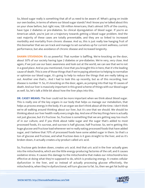So, blood sugar really is something that all of us need to be aware of. What's going on inside our own bodies, in terms of where our blood sugar stands? And I know you've talked about this on your show before, but right now, 128 million Americans, that's almost 50% of the country, have type 2 diabetes or pre-diabetes. So clinical dysregulation of blood sugar. If you're an American adult, you're just on a trajectory towards getting a blood sugar problem. And the vast majority of these cases are totally preventable, and they are so linked to increased morbidity and mortality from chronic disease. And so, this is just really low hanging fruit of this biomarker that we can track and manage to set ourselves up for current wellness, current performance, but also avoidance of chronic disease and increased longevity.

**SHAWN STEVENSON:** It's so powerful. That number is baffling. We're knocking on the door, about 50% of our society having type 2 diabetes or pre-diabetes. We're very, very close. And again, if we just use our basic awareness and look out at the world, we can see that we're not in a good place. And as you mentioned, I love that you brought this in here, that it's the leading cause of death. This is one of those things that if we're paying attention to helping to normalize or optimize our blood sugar, it's going to help to reduce the things that are really taking us out. Another one that's... And I had to look this up recently, but as of this recording, liver disease is number 11. So, it's knocking on the door, again, as jumping into that top 10 causes of death. And our liver is massively important in this grand scheme of things with our blood sugar as well. So, let's talk a little bit about how the liver plays into this.

**DR. CASEY MEANS:** The liver could not be more important when we think about blood sugar. This is really one of the key organs in our body that helps us manage our metabolism, that helps us process energy in the body. It's an organ we don't think about all the time. I don't think we're all walking around thinking about our liver, but it's one that we should. We should be thinking about our liver health really every single day. And one of the key things here is actually not just glucose, but it's fructose. So, fructose is something that we are getting way too much of in our culture, and if you think about table sugar and the sugar that's added to most processed foods, it's sucrose, and sucrose is half glucose, half fructose. So, we're getting this huge glucose and fructose load whenever we're really eating processed foods that have added sugar, and I believe that 70% of processed foods have some added sugar in them. So that's a ton of glucose and fructose, and what fructose does is it goes straight to the liver, and as it's broken down, it actually creates a by-product called uric acid.

So, fructose gets broken down, creates uric acid. And that uric acid in the liver actually goes into the mitochondria, which are the little energy-producing factories of the cell, and it causes oxidative stress. It causes this damage to the mitochondria that makes our mitochondria less effective at doing what they're supposed to do, which is producing energy. It creates cellular dysfunction in the liver, and so instead of actually processing glucose effectively, the [mitochondria, when they](https://themodelhealthshow.com/podcasts/dr-casey-means/)'[re dysfunctional, will turn glucose to fat. So, then we get fat build-up](https://themodelhealthshow.com/podcasts/dr-casey-means/)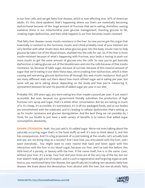in our liver cells, and we get fatty liver disease, which is now affecting over 30% of American adults. It's this silent epidemic that's happening where our livers are essentially becoming dysfunctional because of this huge amount of fructose that we're eating, therefore causing oxidative stress in our mitochondria, poor glucose management, shunting glucose to fat, creating organ dysfunction, and then what happens is our liver becomes insulin resistant.

That fatty liver disease causes insulin resistance in the liver. So now you've got this organ that essentially is resistant to this hormone, insulin, and I think probably most of your listeners are very familiar with what insulin does. But when glucose goes into the body, insulin rises to help glucose be taken out of the blood stream, shuttled into the cells for use. So, if the liver is more insulin-resistant because of what's happening with fructose, your body is having to push out more insulin to get the same amount of glucose into the cells. So now you've got basically dysfunction in taking glucose out of the bloodstream and into the cells because of that insulin resistance. So, because of table sugar, because of sucrose, because of this massive amount of sugar that we're eating in our diets these days, we're creating liver dysfunction, which is then causing and worsening glucose dysfunction all through this web insulin resistance. And you'll see many different stats out there about how much refined sugar we're eating per year, but some will say we're eating about, depending on the study and how you're measuring it, somewhere between 60 and 152 pounds of added sugar per year in our diet.

Probably 100, 200 years ago, you were eating less than maybe a pound per year. It just wasn't accessible. But now, because our government literally subsidizes the production of high fructose corn syrup and sugar, that's a whole other conversation. But we are eating so much of it. It's cheap, it's accessible, it's everywhere, it's in all our packaged foods, and so our bodies are overwhelmed with the substrate, and it's leading to cellular dysfunction that's setting us up for insulin resistance and glucose dysregulation. And the best thing we can possibly do, I think, for our health to just have a wide variety of benefits is to reduce that added sugar consumption, absolutely.

**SHAWN STEVENSON:** Yeah. You just said it, it's added sugar. We're not even talking about the naturally occurring sugar that's in the food stuffs as well. It's nuts to think about it, and this has consequences. And I'm a big proponent of us just looking at the results. Let's actually look and see, are we doing okay as a society? And I love how you articulated with the liver, and I want everybody... You might want to even rewind that back and listen again with this interaction with the liver in our blood sugar, because our liver, and I've said this before, this little kind of a parody, or beauty with the liver. If the name itself, live is in the name. Liver, without your liver, it's a wrap. Your liver and your brain are at the very top of the list, but our liver doesn't really get a lot of respect, and it's such a regenerative and forgiving organ as well. And so, you mentioned fatty liver disease, but specifically we're talking non-alcoholic fatty liver [disease. We knew about the devastation from alcohol with the liver, but non-alcoholic fatty](https://themodelhealthshow.com/podcasts/dr-casey-means/)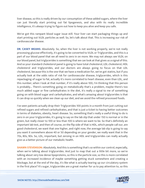liver disease, so this is really driven by our consumption of these added sugars, where the liver can just literally start printing out fat lipogenesis, and also with its really incredible intelligence, it's always trying to figure out how to keep you alive and keep you safe.

We've got this rampant blood sugar issue still. Your liver can start packaging things up and start printing out VLDL particles as well. So, let's talk about that. This is increasing our risk of cardiovascular disease.

**DR. CASEY MEANS:** Absolutely. So, when the liver is not working properly, we're not really processing glucose effectively, it's going to be converted to VLDL or Triglycerides, and this is a part of our blood panel that we all need to zero in on more. We may not always see VLDL on our blood panel, but triglycerides is something that we can look at that gives us a signal of this. And so your standard cholesterol panel is going to have total cholesterol, LDL cholesterol, HDL cholesterol and triglycerides, and our doctors are always going to focus on that LDL cholesterol, because this is the one that we have a medication for, we've got statins, but if you actually look at the odds ratio of risk for cardiovascular disease, triglycerides, which is this repackaging of sugar to fat, actually it's more correlated to heart disease, even than LDL, and this number, when I look at that number, if it's really above 100, I'm thinking that this person is probably... There's something going on metabolically that's a problem, maybe there's too much added sugar or fine carbohydrates in the diet, it's really a signal to me of something going on with blood sugar and carbohydrates, and what's amazing about triglycerides is that it can drop so quickly when we clean up our diet, and we avoid the refined processed foods.

I've seen patients actually drop their Triglycerides 100 points in a month from just cutting out refined sugars and refined carbohydrates, and that is just a ticket to having better outcomes in terms of diabetes, obesity, heart disease. So, something that's really a useful thing to do is zero in on your triglycerides, it's going to say on the lab slip that under 150 is normal or in the green, but really closer to 100 or less than 100 is where we want to be. So that's definitely an important lab test, and then of course, on the flip side of that is HDL, which people call our, are good cholesterol, we want that one higher, and right now, the average lab slip is going to say you want it somewhere above 40 or 50 depending on your gender, we really want that in the 70s, 80s, 90s. So, LDL, important, but zeroing in on HDL and triglycerides can really actually give us a better picture of our metabolic health.

**SHAWN STEVENSON:** Absolutely. And this is something that's so within our control, especially, when we're talking about triglycerides. And just to map that out a little bit more, so we're talking about very low dense lipoproteins, so this is the particle size, so this is more correlated with an increased incidence of maybe something getting stuck somewhere and creating a blockage, but at the end of the day, it's like what is actually tearing up our circulatory system [in the first place? It](https://themodelhealthshow.com/podcasts/dr-casey-means/)'[s sugar, triglycerides are a great marker for us to pay attention to, so this](https://themodelhealthshow.com/podcasts/dr-casey-means/)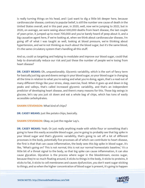is really turning things on his head, and I just want to dig a little bit deeper here, because cardiovascular disease, contrary to popular belief, is still the number one cause of death in the United States overall, and in this past year, in 2020, well, now we're jumping to 2022, but in 2020, on average, we were seeing about 630,000 deaths from heart disease, the last couple of years prior, it jumped up to most 700,000 and you've barely heard of peep about it, and a big causative agent here, if we're looking at, when we think about cardiovascular disease, I'm going off of what I was taught as well, looking at blood pressure, we're thinking about hypertension, and we're not thinking as much about the blood sugar, but it's the same blood, it's the same circulatory system that's handling all this stuff.

And so, could us targeting and helping to modulate and improve our blood sugar, could that help to dramatically reduce our risk and just these the number of people we're losing from heart disease?

**DR. CASEY MEANS:** Oh, unquestionably. Glycemic variability, which is the sort of fancy term for basically just big ups and downs swings in your blood sugar, so your blood sugar is changing all the time in relation to what you're eating and what you're doing, again, that's a read out of many different things like your stress, sleep, exercise, food. When it goes up and down in big peaks and valleys, that's called increased glycemic variability, and that's an independent predictor of developing heart disease, and there's many reasons for this. Those big swings in glucose, let's say you just sit down and eat a whole bag of chips, which has tons of easily accessible carbohydrates.

#### **SHAWN STEVENSON:** What kind of chips?

**DR. CASEY MEANS:** Just like potato chips, basically.

**SHAWN STEVENSON:** Okay, so just the regular Lay's.

**DR. CASEY MEANS:** Yeah. Or just really anything made with white flour or something that's going to have this easily accessible blood sugar, you're going to probably see that big spike in your blood sugar and that's glycemic variability, that's going to set off a lot of different processes in the body, potentially five processes all of which can contribute to heart disease, the first is that that can cause inflammation, the body sees this big spike in blood sugar, it's like, "What's going on? This is not normal, this is not our normal homeostatic baseline," it's a little bit of a threat signal to the body, so that big spike can cause inflammation, it can also cause glycation. Glycation is the process where sugar in the bloodstream, excess sugar, because they're so much floating around, it sticks to things in the body, it sticks to proteins, it sticks to fat, it sticks to cell membranes and causes dysfunction, you don't want sugar sticking [to things, and so when the higher concentration of blood sugar is present, it](https://themodelhealthshow.com/podcasts/dr-casey-means/)'[s going to happen](https://themodelhealthshow.com/podcasts/dr-casey-means/) 

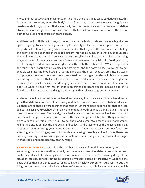more, and that causes cellular dysfunction. The third thing you do is cause oxidative stress, this is metabolic processes, when the body's sort of working harder metabolically, it's going to create metabolic by-products that are actually reactive free radicals and that is called oxidative stress, so increased glucose can cause more of that, which we know is also one of the sort of pathophysiologic root causes of heart disease.

And then the fourth thing it does, of course, is cause the body to release insulin. A big glucose spike is going to cause a big insulin spike, and typically the insulin spikes are pretty proportional to how big the glucose spike is, and so that again is the hormone that's telling the body, get the sugar out of the blood stream into the cells, insulin is that key that unlocks that ability. We have that big insulin surge over time, like we talked about earlier, that's going to generate insulin resistance over time, 'cause the body sees so much insulin floating around, it's like being forced to drive so much glucose in the cells, the cells are like, "Woah, stop, this is too much," and it actually puts a block on that signal and the body is like, "No, we got to get that glucose into the blood stream." So the pancreas, the organ that secretes insulin, starts pumping out more and more and more insulin to drive the sugar into the cells, but that whole ratcheting up process, that insulin resistance, that's really what drives us towards glucose instability, and insulin, aside from driving glucose in the cells, has many other effects in the body, so when it rises, that has an impact on things like heart disease, because one of its functions is like it's a pro-growth signal, it's a signal that tell cells to grow, it's anabolic.

And one place it can do that is in the blood vessel walls, it can create endothelial blood vessel growth and dysfunction kind of narrowing, and that of course can be related to heart disease. So, there are all these different things that happen just from blood sugar spikes that can lead to heart disease. And yet, how often do we hear about blood sugar as a thing that can improve heart disease outcomes? Very rarely, we actually hear so much more about salt and how that can impact things, but in my opinion, one of the best things, absolutely best things, we could do to reduce our heart disease risk is to get the blood sugar into a much more stable gentle rolling hills situation, not the big peaks and valleys. And that's one of the reasons I'm a big proponent of monitoring your blood sugar, is that if you can actually see how foods are affecting your blood sugar, see which foods are causing those big spikes for you, therefore causing those big insulins, so just you can learn how to eat in a way that keeps your blood sugar in that stable and more healthy, healthy range.

**SHAWN STEVENSON:** Casey, this is the number one cause of death in our country. And this is something we can do something about, but we've really been inundated even with our very sophisticated level of technology and advancements we've made, we're throwing drugs at the situation, statins, lisinopril, trying to target a symptom instead of proactively, what are the basic things that our genes expect for us to have a healthy expression? And just to put the [icing on the metaphoric cake here, when we](https://themodelhealthshow.com/podcasts/dr-casey-means/)'[re experiencing this insulin resistance, which](https://themodelhealthshow.com/podcasts/dr-casey-means/)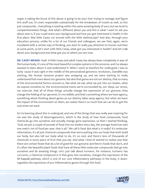organ is taking the brunt of this abuse is going to be your liver trying to manage and figure this stuff out, it's even responsible substantially for the breakdown of insulin as well, so this just compounds... Everything is existing within the same amazing body of ours, but we tend to compartmentalize things. And what's different about you and this is what I want to ask you about next is, if you could share your background and how you got interested in health in the first place. Was little Casey run around with the little stethoscope? And also, through your education process, unlike for a lot of our friends and colleagues, we see that, again, we're inundated with a certain way of thinking, you start to really pay attention to human nutrition at some point, so let's start with little Casey, what got you interested in health? And let's talk about your background and what got you to where you are now.

**DR. CASEY MEANS:** Yeah. A little Casey and adult Casey has always been completely in awe of the human body, it's one of the most beautiful complex systems in the universe, and I've always wanted to learn about it and understand it. When I went to Stanford for undergrad, I was so lucky 'cause it was right in the middle of the personalized genomics revolution, 23andMe was starting, the Human Genome project was wrapping up, and we were starting to really understand that more about our genome, but also that genes are not our destiny, that so many of the environmental factors around us, like what we eat, what we put into our bodies, what we expose ourselves to, the environmental toxins we're surrounded by, our sleep, our stress, our exercise, that all of these things actually change the expression of our genome, they change the folding of our genome, it's incredible, and that's something where we have agency, something about thinking about genes as our destiny takes away agency, but when we learn the impact of the environment on them, we realize there's so much that we can do to get the outcomes we want.

So I'm learning about this in undergrad, and one of the things that was really awe inspiring for me was the study of Neutrogenomics, which is the study of how food compounds, food chemicals go into ourselves and actually change gene expression, so then I started thinking, "God, we put a couple of pounds of food into our bodies every day, the average American eats one metric ton of food per year, that is all." We call it food. But what is it really? It's molecular information, it's all just chemical compounds that we're putting into our body that both build our body, but also tell our body what to do, it's so cool, and there's tens of thousands of chemicals in every piece of fruit that you eat. And what I kind of started to realize was that there are certain foods that do a lot of good for our genome and there's foods that don't, and it's often the beautiful plant foods that have all these little molecular compounds that go into ourselves and do amazing things. Let's just talk about turmeric, for instance, turmeric has curcumin, a chemical compound in it that goes into ourselves, changes the expression of the NF-kappaB pathway, which is one of our core inflammatory pathways in the body, it downregulates the expression of pro-inflammatory genes through this food.

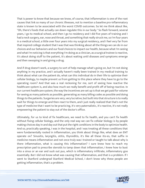That is power to know that because we know, of course, that inflammation is one of the root causes that link so many of our chronic illnesses, not to mention a baseline pro-inflammatory state is known to be associated with the worst COVID outcomes. So let me think about like, "Oh, there's foods that actually can down regulate this in our body." So flash forward, several years, I go to medical school, and then I go to residency and I did five years of training and I had a neck surgery, ear, nose and throat, and something that really struck me, so I'm four years in a medical school, a little over four years into my surgical residency, and I feel very far from that inspired college student that I was that was thinking about all the things we can do in our choices and our behaviors and our food choices to impact our health, because what I'm seeing and what I'm noticing is that everything I'm doing as a clinician, as a surgical trainee is reactive, it's about doing stuff to the patient, it's about waiting until diseases and symptoms emerge and then swooping in and giving a drug.

And if drug doesn't work, a surgery to sort of help manage what's going on, but I'm not doing anything in my practice, and I actually haven't really been trained in my medical training to think about what can the patient do, what can this individual do in their life to optimize their cellular biology, to maybe prevent us from getting to this place where they have to go to the operating room? And that was a real reckoning for me, sort of seeing how reactive the healthcare system is, and also how much we really benefit and profit off of being reactive. In our current healthcare system, the way the incentives are set up is that we get paid for volume for seeing as many patients as possible, generating as many billing codes as possible and doing things to the patients. Surgeries are very, very lucrative, but built into that structure is to really wait for things to emerge and then react to them, and I just really realized that that's not the type of medicine that I want to be practicing, it's very paternalistic, it's reactive, it's not really empowering the patient to stay out of the doctor's office.

Ultimately, for us to kind of fix healthcare, we need to fix health, and you can't fix health without fixing cellular biology, and the only real way we can fix cellular biology is by people making choices day in and day out that put the right conditions in the body to optimize health. And so, practically speaking, I was in the hospital, and I was treating all these conditions that were fundamentally rooted in inflammation, you think about things like, what does an ENT operate on? Sinusitis, laryngitis, otitis, thyroiditis, it's like all these itis-es, that suffix in medicine means inflammation and not once truly was I trained or taught to talk about why is there inflammation, what is causing this inflammation? I sure knew how to reach my prescription pad to prescribe steroids to tamp down that inflammation, I knew how to bust into a sinus or an ear and suck out pus, which is inflammatory infiltrate, inflammatory goo essentially. But I did not know what was causing that inflammation, and that is a problem. If I went to Stanford undergrad Stanford Medical School, I don't know why these people are getting inflammation, that's a problem.

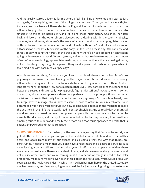And that really started a journey for me where I feel like I kind of woke up and I started just asking why for everything, and one of the things I realized was, "Okay, you look at sinusitis, for instance, and we have all these studies in England Journal of Medicine that look at the inflammatory cytokines that are in the nasal tissue that cause that inflammation that leads to sinusitis." It's things like interleukin-6 and TNF-alpha, these inflammatory cytokines. Then step back and look at all the other chronic diseases we're dealing with in the country, obesity, diabetes, heart disease, Alzheimer's, the same inflammatory cytokines are upregulated in a lot of those diseases, and yet in our current medical system, there's 42 medical specialties, we're all focused on these little teeny parts of the body, I'm focused on these tiny little ear, nose and throat, totally missing the forest of the trees on how there's a huge amount of connection going on between all these different systems, and what that really woke me up to was more of sort of a systems biology approach to medicine, what are the things that are linking disease, not just treating everything like separate things and separate silos where we play Whac-A-Mole medicine with each medical specialty?

What is connecting things? And when you look at that level, there is just a handful of core physiologic pathways that are leading to the majority of chronic disease we're seeing, inflammation being one of them, metabolic dysfunction being another one of them. And so, long story short, I thought, "How do we attack at that level? How do we look at the connections between diseases and start really helping people figure this stuff out?" Because when it comes down to it, the way to approach these core pathways is to help people figure out what decisions to make in their daily life that optimize their physiology. So that's how to eat, how to sleep, how to manage stress, how to exercise, how to optimize your microbiome, so it became really my life's work to figure out how to empower patients on the frontend to make the decisions in their life that actually lead to better physiology. And so totally left the surgical world and really focused on how to empower people with their own health information to make better decisions, and that's, of course, what led me to start my company Levels with my amazing four co-founders and to really focus more on a root cause approach to health that is patient-empowered and that is proactive.

**SHAWN STEVENSON:** You're the best, by the way. Let me just say that first and foremost, you got into the field to help people, and you just articulated so wonderfully, and we've heard this again and again from many of our friends and colleagues, that the way that things are constructed, it doesn't mean that you don't have a huge heart and a desire to serve, it's just we're lacking a certain skill set, and also the system itself that we're operating within, there are so many constraints, there's a standard of care, and also we're operating on volume and not quality often times, and we're coming in at the very end of things instead of like, let's proactively make sure we don't even get to this place in the first place, which would overall, of course, save the healthcare industry, which is \$4 trillion business here in the United States, so [much more money and lives are going to be saved. So, it](https://themodelhealthshow.com/podcasts/dr-casey-means/)'[s just reframing things, and so for you](https://themodelhealthshow.com/podcasts/dr-casey-means/)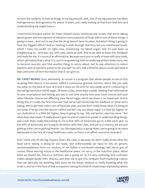to have the audacity to look at things in my big passion, well, one of my big passions has been Nutrigenomics, Nutrigenetics for about 15 years, just really looking at that from that lens and understanding we might have a...

I mentioned lisinopril earlier, for heart-related issues, cardiovascular issues, that we're talking about grams and micrograms of influence versus pounds of food, which one of these things is going to have... And not to say that the drug doesn't have its place, but which thing is going to have the biggest effect? And so, starting to look through that lens, but you mentioned Levels, which I have my Levels on right now, monitoring my blood sugar, and it's just been so enlightening to... And also, my wife uses Levels as well. And to be able to have this feedback and really for me, it's more of an affirmation. Because once you're really in tune with your body, which ultimately that's what it is, you're empowering folks to understand their body more, not to become neurotic and find another thing to worry about, but to pay attention to notice patterns and to optimize patterns for yourself. So, let's talk a little bit about Levels and what it does and some of the information that it can give us.

**DR. CASEY MEANS:** Sure, absolutely. So Levels is a program that allows people access to this amazing little device, a bio-sensor called a continuous glucose monitor, which like you said, you wear on the back of your arm and it stays on the arm for two weeks and it's measuring in the background your blood sugar, 24 hours a day, seven days a week, sending that information to your smartphone and letting you see in real time exactly how your food choices and your other lifestyle choices are affecting your blood sugar, which we know is so important. And in doing this, it's really the first time ever that we've had closed loop bio feedback on what we're eating. We've got that metric ton of food per year, and we don't really know what it's doing to our body. If we go into the doctor's office and let's say our blood sugar is a little bit higher, or our cholesterol is a little bit higher, they're going to say, "Oh, eat better, exercise more." But what does that mean? It really doesn't give us a lot of control or power in understanding things, and a stat that's really fascinating to me is that 49% of Americans go on a diet each year, so the 49% of Americans are trying to do better with their diet, and yet as a country, we are just getting sicker, we're getting heavier, our life expectancy is going down, we're going to be more depressed in the face of rising healthcare costs, so there is an effort, outcome mismatch.

And I think one of the big reasons that's the case, is because we don't really know what the food we're eating is doing to our body, and unfortunately we have to rely on generic recommendations from our doctors, or we follow a nutritional ideology, and we've got, of course, these warring voices in the healthcare space, I'm sorry, in the nutrition space, about what we should eat, there's a nutrition war is going on, so it's very confusing, and confusion makes people doubt their choices, and then we've got this rampant food marketing culture that can basically say anything they want on the boxes, without us really knowing what the [truth is, and so in the face of that ecosystem, having this kind of closed loop relationship where](https://themodelhealthshow.com/podcasts/dr-casey-means/)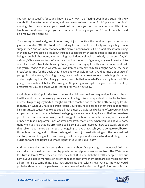you can eat a specific food, and know exactly how it's affecting your blood sugar, this key metabolic biomarker in 10 minutes, and maybe you've been dieting for 30 years and nothing's working. And then you eat your breakfast, let's say you eat oatmeal with a little bit of blueberries and brown sugar, you see that your blood sugar goes up 80 points, which would be a really, really high rise.

You can say immediately, and in one time, of just checking this food with your continuous glucose monitor, "Oh, this food isn't working for me, this food is likely causing a big insulin surge in me." And we know that one of the many functions of insulin is that it blocks fat burning in the body, we've talked a lot about insulin, but aside from shuttling glucose into the cells and being an anabolic hormone, another thing that it does is signal to the body to not burn fat, it's a signal, "Oh, we've got tons of energy around in the form of glucose, why would we tap into our fat stores?" It blocks fat burning. So, if you see that big spike with your oatmeal breakfast, and you're trying to lose weight, you can immediately say, "Oh, this might not be the best breakfast for me for the goals that I have, and to be able to cut it. And oatmeal, of course, if you go into the store, it's going to say, heart healthy, a great source of whole grains, your doctor might say that it's... Really go on any website that says, what's a healthy breakfast? It's going to say, oatmeal, but if it's causing an 80-point glucose spike for you, it is not a healthy breakfast for you, and that's what I learned for myself, actually.

I had about a 75-80 point rise from just totally plain oatmeal, so no question, it's not a heart healthy food for me, because glycemic variability, big spikes, independent risk factor for heart disease. I'm putting my body through this roller coaster, not to mention after a big spike like that, usually what you have is a crash, 'cause your body has released all that insulin, that huge insulin surge, it causes you to soak up all that glucose that just spiked, and often you can have a dip after that, and that's called reactive hypoglycemia after a big spike, and that's often when people feel that post-meal crash, that lethargy like an hour or two after a meal, and they kind of need to take a nap after lunch or after breakfast, that's often when you look at your data, right when you had that dip after a big spike, so if you can figure out how to actually stabilize that spike, make it more gentle, you're not going to have that crash, you're going to feel better throughout the day, and so I think the biggest thing is just really figuring out the personalized diet for you, and being able to cut through just the super loud voices in food marketing, in the nutrition wars, and figure out what's right for your individual body.

And there was this amazing study that came out about five years ago in the Journal Cell that was called personalized nutrition by prediction of glycemic responses from the Weizmann Institute in Israel. What they did was, they took 800 non-diabetic healthy people, they put continuous glucose monitors on all of them, then they give them standardized meals, so they all ate the exact same thing. Say, macronutrients and calories, everything. And what you'd [probably think would happen based on our conventional understanding of blood sugar is that](https://themodelhealthshow.com/podcasts/dr-casey-means/)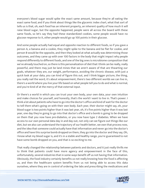everyone's blood sugar would spike the exact same amount, because they're all eating the exact same food, and if you think about things like the glycemic index chart, what that sort of tells us is that, oh, each food has an inherent property, an inherent quality of how much it will raise blood sugar, but the opposite happened, people were all across the board with these same foods, so let's say they had these standardized cookies, some people would have no glucose response to it, other people would go up 100 points in their glucose.

And some people actually had equal and opposite reaction to different foods, so if you gave a person A, a banana and a cookie, they might spike to the banana and be flat for cookie, and person B would be the opposite, and then they looked at what actually was determining those outcomes, and they came up with over 100 factors in the body that might impact why people respond differently to different foods, and one of the big ones is microbiome composition that we've already touched on, so there is this personalization of diet that I think can be really, really powerful, and there may just be land mines that we aren't aware of that are thwarting our goals, whatever they are, our weight, performance, avoiding the chronic disease, with just a quick look at your data, you can kind of figure this out, and I think bigger picture, the thing, you really nail the word, it's about empowerment, there's two different worlds we can live in, there's a world where you live your life based on what people tell you to do and what is normal, and you're kind of at the mercy of that external input.

Or there's a world in which you can trust your own body, your own data, your own intuition and make choices for yourself, and honestly, that's the world I want to live in. That's power. I think a lot about patients who have to go into the doctor's office and kind of wait for the doctor to tell them what's going on with their own body. Each year, their doctor might say, oh, your blood sugar is two points higher than it was last year, oh, it's five points higher than it was last year, one day they're going to go into that doctor's office and a bomb is going to be dropped on them that you now have pre-diabetes, or you now have type 2 diabetes. When we have access to our own personal data day in and day out, not only can we figure out things like our diet, but we also can understand the trajectory of our health better, we own that process now, and the idea that someone could actually have that information and never go into the doctor's office and have this surprise bomb dropped on them, they go into the doctor and they say, Oh, I know what my blood sugar is, and it's in a stable and healthy range, you're guaranteed to not have some bomb dropped on you, and that is so exciting to me.

That really changed the relationship between patients and doctors, and it just really thrills me to think that patients could have more agency and empowerment in the face of this, unfortunately, several industries that in some ways benefit off us not having that information. Obviously, the food industry certainly benefits us not really knowing how the food is affecting us, and then the healthcare system benefits from us not being able to access this data [ourselves, where they are in control of ordering the labs and prescribing the medications and](https://themodelhealthshow.com/podcasts/dr-casey-means/)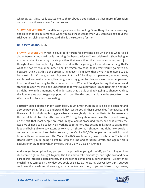whatnot. So, it just really excites me to think about a population that has more information and can make these choices for themselves.

**SHAWN STEVENSON:** Yes, and this is a great use of technology. Something that's empowering, and I love that you put emphasis when you said these words when you were talking about the trial you ran, plain oatmeal, you said, this is the response for me.

#### **DR. CASEY MEANS:** Yeah.

**SHAWN STEVENSON:** Which it could be different for someone else. And this is what it's all about. Personalized nutrition is the thing I've been... Prior to The Model Health Show being in existence when I was in my private practice, that was a thing that I was advocating, and I just thought it was obvious, but I got to be honest, in the beginning, if I was into something, that's what the patient would be into. If I'm like, vegan raw food, that's what you're going to do, because I think that this is the greatest thing ever. If I'm keto, that's what you're going to do, because I think it's the greatest thing ever. But thankfully, I kept an open mind, an open heart, and I could see, wait a minute, this thing is working great for this person or these people over here, but it's not working for these folks over here. What is it? And just having that inquiry and starting to open my mind and understand that what we really need is nutrition that's right for us, right now in this moment. And understand that that is probably going to change. And so, this is where we start to get equipped with tools like this, and that data in the study from the Weizmann Institute is so fascinating.

I actually talked about it in my latest book, in Eat Smarter, because it is so eye-opening and also empowering for us to understand, hey, we've got all these great diet frameworks, and there's a lot of in-fighting taking place because everybody thinks that their diet framework is the end all be all. And that's the problem. We're fighting about minutia at the top and missing on the fact that most people are consuming a load of processed foods, and that's really the issue we all need to be collectively working together on, just getting folks back to eating real food and being able to pay attention to what's right for us right now. And right now, Levels is currently running a closed beta program, there's like 160,000 people on the wait list, and because this is exclusive with The Model Health Show, because you are a listener of The Model Health Show, you're going to get to jump the line and to utilize Levels, and again, this is exclusive for us, go to levels.link/model, that's L-E-V-E-L-S.L-I-N-K/model.

And you get to jump the line, you get to jump the line, you get the VIP, you're rolling up to a club, come right in. You get to jump the line and to take advantage, and right now and be a part of this incredible beta process, and the technology is already so wonderful. I've gotten so much if folks can see on the video, you could see a little... I know my sleeves look tight, but you [could see the Levels and there](https://themodelhealthshow.com/podcasts/dr-casey-means/)'[s a great sticker to cover it up, so you could exercise, shower,](https://themodelhealthshow.com/podcasts/dr-casey-means/)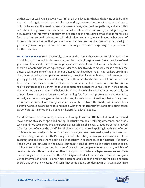all that stuff as well. And I just want to, first of all, thank you for that, and allowing us to be able to access this right now and to get this data. And so, the next thing I want to ask you about, is utilizing Levels and the great dataset you already have, you could see patterns, and again, this isn't about being erratic or this is the end-all be-all answer, but you guys did get a great accumulation of information about what are some of the most problematic foods for folks as far as creating some disorientation with their blood sugar. So, let's talk about what some of those foods were. I know that you mentioned oatmeal, so was that one of those... We'll just give us, if you can, maybe the top five foods that maybe even were surprising to be problematic for the most folks.

**DR. CASEY MEANS:** Yeah, absolutely, so one of the things that we see, certainly across the board, is that processed foods cause a large spike, these ultra-processed foods based in refined grains and flours and whatnot, and sugars, and we'd expect that, but we actually also see that there's a lot of foods that we typically consider to be healthy, which actually cause a really large glucose spike, so some of the ones in our dataset that have been really high spikers are things like grapes actually, sweet potatoes, oatmeal, corn. Funnily enough, Acai bowls are one that get logged a lot, that have a really big spikes, these are foods that have lots of nutrients in them, of course, they're beautiful plant foods, but when eaten in isolation, tend to cause a really big glucose spike. So that leads us to something else that we've really seen in the dataset, that when we balance meals and balance foods that have high carbohydrates, we actually see a much lower glucose response, so often adding fat, fiber and protein to a carbohydrate, actually causes a more gentle rise in glucose, it slows down digestion, fiber actually may decrease the amount of total glucose you even absorb from the food, protein also slows digestion, and so balancing foods and meals with other macronutrients and not eating naked carbohydrates is something that's really helpful for a lot of people.

The difference between an apple alone and an apple with a little bit of almond butter and maybe some chia seeds sprinkled on top, is actually can be a really big difference, and that's why, I think, we see something like grapes being such a high spiker. Grapes are something you often just sort of eat by the handful on their own, you're not really pairing it with a lot of other protein sources usually, or fat or fiber, and so we just see these really, really big rises, but another thing that we see that's really kind of interesting is how you can take like a food category and see that there's quite a big spectrum in responses, so for instance, like sushi. People who just log sushi in the Levels community tend to have quite a large glucose spike, well over 30 milligram per deciliter rise after sushi, but people who log sashimi, which is of course this fish without the rice, another thing you could order at a Japanese restaurant, have a very low glucose response, less than 10 milligrams to deciliter, so maybe that kind of gives us the information of like, I'll order more sashimi and less of the rolls with the rice, and then there's this whole new category of sushi that some people are doing, which is cauliflower rice

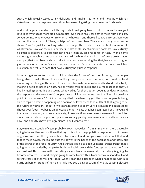sushi, which actually tastes totally delicious, and I make it at home and I love it, which has virtually no glucose response, even though you're still getting these beautiful Sushi rolls.

And so, it helps you kind of think through, what am I going to order at a restaurant if my goal is to keep my glucose more stable, more flat? One that's really fascinated me is nutrition bars, so you go into Whole Foods or Erewhon or whatever, and there's like 100 different bars you can get, like lunar bars, cliff bars, bulletproof bars, quest bars. There are so many. How do you choose? You're just like looking, which box is prettiest, which has the best claims on it, whatever, well, we can see in our dataset just like a total spectrum from bars that have virtually no glucose response, to bars that have really high glucose response, in fact, I won't name names right now, but some of the healthy nutrition bars that are in sort of a nice brown paper wrapper, that look like you should take it camping or something like that, have a much higher glucose response than a Snickers bar, and then there's other bars like the bulletproof bar, quest bar, perfect keto bars, that have virtually no glucose response.

So what I get so excited about is thinking that the future of nutrition is going to be people being able to make these choices in the grocery store based on data, not based on food marketing, not being at the whim of these industries who want us to buy this food, but actually making a decision based on data, not only their own data, like the bio-feedback loop they've had by testing something and seeing what worked for them, but on population data, what was the response to this over 10,000 people, over a million people, we have 51 million glucose data points in our datasets, 1.5 million food logs that have been logged, the power of people being able to tap into what's happening on a population level, these foods... I think that's going to be the future of nutrition, I think in five years, it's going to seem very like quaint and outdated to choose your foods, not based on objective biometric data that has been tested both in you and in a large population, you can imagine, right now, we Google some recipe we want to cook for dinner, and a million recipes pop up, and we usually pick by how many stars does their reviews have, and does this have any ingredients I don't want to eat?

But, we're just a couple of years probably away, maybe less, from a time when there's actually going to be another section there that says, this is how the population responded to it in terms of glucose rise, and then you can test it for yourself, and find your own data about that, and that to me is power, that to me puts the power in the hands of the population and totally out of the power of the food industry. And I think it's going to open up radical transparency that's going to be demanded by people for both the healthcare and the food system saying, don't try and just sell this to me with marketing claims, because essentially marketing is going to become obsolete. The marketing is going to come from within, from how we respond to it, and so that really excites me, and I think when I scan the dataset of what's happening with just nutrition bars or brands of non-dairy milk, you see a big spectrum of what is causing glucose

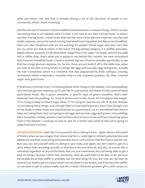spike and what's not, and that is already driving a lot of the decisions of people in our community, which I think is exciting.

And the last one I'll mention is that breakfast foods have been a massive thing, I think I've seen interesting data in our dataset, which is that, if you look at our best scoring foods, so when I say best scoring foods, I mean foods that had the most minor glucose response, very flat and stable response, versus the worst scoring food which have big spikes and dips across breakfast, there are clear breakfasts that are not working for people's blood sugar and clear ones that are. So, when you look at what's in the worst, the big spiking category, it is waffles, pancakes, bagels, donuts, pastries, it's all these white, beige, flour-rich, sugar-rich foods, which if you walk into a coffee shop, that's what you're going to see behind the counter, we have normalized that these are breakfast foods. Cereal is another big one. Cheerios actually, specifically, is one that has a huge glucose response. So, for me, those are just kind of off to the table now, when you look at the best scoring foods, it's things like eggs and avocado, eggs and greens, actually the Fab 4 Smoothie, which is a smoothie that was popularized by Kelly LeVeque, amazing nutritionist, which is basically a smoothie that's a mix of greens, proteins, fat, fiber, minimal sugar, very good score.

Frittata has a minimal score. I'm thinking about other things in the dataset, chia seed pudding, very minimal glucose response, so it's not like it's just animal-rich foods, it's also some of these plant-based foods, like a green smoothie, a specific type of green smoothie, that's wellbalanced, and chia pudding. So, I look at all this and I'm like, Great, if I'm trying to lose weight, if I'm trying to keep my blood sugar down, if I'm trying to improve my risk of chronic disease, I'm not eating these things, even though they're covering the grocery store. Even though a lot of the foods in these foods are subsidized by our government, so it's normalized that they're okay, not eating them, but I am going to eat eggs and avocado, eggs and greens, chia pudding, Fab 4 Smoothie, Frittata, etcetera. And so that's kind of some of the stuff we're learning about food in the dataset, I could go on and on, but it's a whole new world of how we're going to judge food and nutrition.

**SHAWN STEVENSON:** Yeah, this is so powerful, this is taking it from... Again, there's still a level of theory when we see a bagel, that I know that this is really high in refined carbohydrates and added this and that, same thing with pancake, but it's still a theory that this food is bad for me. Now you can see yourself what it's doing to your body, and again, we don't want to get to a place where folks are being neurotic or that this is the end all be all, and also, of course, this is individual regardless of any of the foods that you just mentioned, but just being able to get a beat on things, because I think that ultimately, what we want folks to be able to do, because we already know that waffle is probably not the best thing for you, but now we can start to listen to our bodies, get to a place where we can listen to our bodies, and if we have the waffle, [no, we want to get to a place really, and this is what I think the greatest gift is with Levels, it](https://themodelhealthshow.com/podcasts/dr-casey-means/)'[s](https://themodelhealthshow.com/podcasts/dr-casey-means/) 

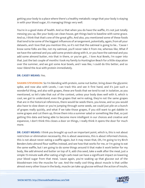getting your body to a place where there's a healthy metabolic range that your body is staying in with your blood sugar, it's managing things very well.

You're in a good state of health. And so that when you do have the waffle, it's not just totally messing you up, like your body can clean house, get things back to baseline with some grace. And so, I think that that's one of the great gifts. And also, you mentioned some of these foods that tend to be some of the biggest influences of arrangement, potentially, again, from all your datasets, and I love that you mention this, so it's not that the oatmeal is going to be... 'Cause I know some folks are like, not my oatmeal, you'll never take it from me, whereas like, What if we have the oatmeal and you add some protein along with it, or you have the oatmeal and you add some almond butter, mix that in there, or you've got... I love Acai Bowls, I'm super into that. Just the last couple of months I took my family to Huntington Beach for a little staycation over the summer, and we got some Acai bowls, and I was like, I could do this better, and so now I blend the Acai with protein immediately.

#### **DR. CASEY MEANS:** Yes.

**SHAWN STEVENSON:** So I'm blending with protein, some nut butter, bring down the glycemic spike, and now also with Levels, I can track this and see it first hand, and it's just such a wonderful thing, and also with grapes, these are foods that we tend to eat in isolation, as you mentioned, so let's take that out of the context, unless your body does well with it, which is cool, we got to understand, even the grapes that we're eating, they're not the same grapes that are in the historical references, there would be seeds there, you know, and so you would also have to slow down or you're jumping through some seeds, we could just pile on a bunch of grapes really quickly, and what if we take those grapes, if you still want to get dabble in some grapes and cut them up, throw them into a summer salad or something like that, so just getting this data and being able to become more intelligent in our choices and creative and expansive, I don't think this closes a door on things, I really think it opens the door for much more.

**DR. CASEY MEANS:** I think you brought up such an important point, which is, this is not about restriction or elimination necessarily, this is about awareness, this is about informed choices, this is not about never eating a waffle again, but it may mean that, Oh, I'm going to try Birch Benders keto almond flour waffles instead, and see how that works for me, or I'm going to eat the same waffle, but I am going to do some things around it that make it work better for my body, like add almond and butter on top of it, add chia seed, take a walk after the meal, just a simple 15-minute walk after eating a high-carb meal can have a significant impact on lowering your blood sugar from that meal, 'cause again, you're soaking up that glucose out of the bloodstream into the muscles for use. And the really cool thing about muscle is that unlike [almost every other tissue in the body, muscle can take up glucose without the action of insulin,](https://themodelhealthshow.com/podcasts/dr-casey-means/) 

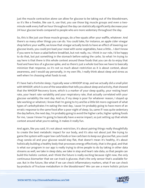just the muscle contraction alone can allow for glucose to be taking out of the bloodstream, so it's like a freebie, like use it, use that, you use those big muscle groups and even a twominute walk every half an hour throughout the day can statistically significantly decrease your 24 hour glucose levels compared to people who are more sedentary throughout the day.

So, this is like just use those muscle groups, do a few squats after your waffle, whatever. And there's so many other things you can do. You could take, for instance, an apple cider vinegar shop before your waffle, we know that vinegar actually tends to have an effect of lowering our glucose levels, you could pre-load your meal with some vegetables, have a little... I don't know if you were to have a salad before breakfast, but not really, no, I think in our role, I'd be happy to do that, but put something in the stomach before eating the carbs. So what I'm trying to say here is that there is this whole context around these foods that you can do to enjoy that food and have less of a glucose spike, and so there's just a whole tool box we have to basically minimize that response, so it's not so much about restriction as it is about context, about awareness, and I would say personally, in my own life, I really think about sleep and stress as well when I'm choosing what foods to eat.

If I have had a Fortnite sleep, I typically wear a WHOOP strap, and we actually did a small pilot with WHOOP, which is one of the wearables that tells you about sleep and activity, that showed that the WHOOP Recovery Score, which is a marker of your sleep quality, your resting heart rate, your heart rate variability and your respiratory rate, that actually correlated with your glucose variability the next day. And so, if my sleep is poor for whatever reason, I stayed up late working or whatnot, I know that I'm going to try and be a little bit more cognizant of what types of carbohydrates I'm eating the next day, 'cause I'm probably going to have more of an erratic response to the same food after a poor night of sleep. So, same if I was quite sedentary the day before, the next day, I'm probably going to avoid the higher carbs, higher spiking foods for me, 'cause I know I'm going to basically have a worse impact, so just setting up that whole context around what you're eating, it makes it really fun.

And again, like you said, it's not about restriction, it's about pairing things really thoughtfully to create the best metabolic impact for our body, and it's also not about just like trying to game the system with super low-carb foods or low-carb bars to keep our glucose flat, you could chug canola oil and your glucose would stay flat, that doesn't mean it's healthy, it's about holistically building a healthy body that processes energy effectively, that is the goal, and that is what our program in our app is really trying to drive people to do by taking in other data streams as well, we take in sleep data, we take in step and heart rate data, so that people can build this holistic context, and I think the future is really exciting because right now, the only continuous biomarker that we can track is glucose, that's the only sensor that's available for use. But in the future, like what if we can check inflammatory markers, what if we can check [by-products of fructose metabolism in the bloodstream? We can see](https://themodelhealthshow.com/podcasts/dr-casey-means/) a more holistic picture

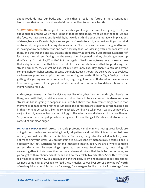about foods do into our body, and I think that is really the future is more continuous biomarkers that let us make these decisions in our lives for optimal health.

**SHAWN STEVENSON:** This is great, this is such a great segue because I was going to ask you about outside of food, which food is kind of that tangible thing, we could see the food, we eat the food, we have a relationship with it, but we don't think about the metabolic implications of stress, because it's invisible, in a sense, you can't really touch it, you can't eat it, you can kind of stress eat, but you're not eating stress in a sense. Sleep deprivation, same thing. And for me, in looking at my data, there was one particular day that I was dealing with a random stressful thing, and this was the one day that my blood sugar was bonkers, it was stressed, a matter of fact, I was intermittent fasting, and the stress thing happened, and my blood sugar went up significantly, I'm just like, What the? But then again, if I'm listening to my body, I already knew that's why I checked it at that time, it's just like these catecholamines that I'm producing, the stress hormones, they might be like, let my body know like, Hey, there's a stressful event coming, fight or flight scenario, because our biology, even though we believe we're so evolved, we have very primitive out-picturing and processing, and so this fight or flight feeling that I'm getting, it's getting my body prepares like, Hey, it's got some stuff stored in these muscles here, some glucose, let me go and unlock that and put that in his bloodstream because he might need to roll out.

And so, to get to see that first hand, I was just like, Wow, that is so nuts. And so, but here's the thing, even with that, I'm still empowered, I don't have to be a victim to this stress and also stresses in bad it's going to happen in our lives, but I have tools to reframe things even in that moment or to take some breaths to just tickle the parasympathetic nervous system a little bit in that moment versus just like the sympathetic dominance taken over, we are so powerful, we just kind of, again, outsource our biology to the external world when all of this is within us. So, you mentioned sleep deprivation being one of those things, let's talk about stress in the context of our blood sugar.

**DR. CASEY MEANS:** Yeah, stress is a really profound variable in what our glucose levels are doing during the day, and something I really tell patients and that I think is important to know is that you could have the perfect Metabolic Diet, everything is totally dialed in, but if you're not managing your stress, you are not going to be... Absolutely metabolically healthy. Food is necessary, but not sufficient for optimal metabolic health, again, we are a whole complex system, this is not like everything's separate, stress, sleep, food, exercise, these things all weave together in this incredible hormonal chemical milieu that leads to the outcome, so you've got to think about each of them, and how they relate to each other. So, with stress, you really nailed it. I love how you put it, it's telling the body like we might need to roll out, and so we need some energy available to feed these muscles, so our liver stores a few hours' worth [of really quickly accessible glucose for energy for emergencies like that. It](https://themodelhealthshow.com/podcasts/dr-casey-means/)'[s in a storage form](https://themodelhealthshow.com/podcasts/dr-casey-means/)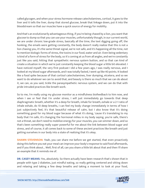called glycogen, and when your stress hormone release catecholamines, cortisol, it goes to the liver and it tells the liver, dump that stored glucose, break that linkage down, put it into the bloodstream so that our muscles have a quick source of energy for mobility.

And that's an evolutionarily advantageous thing, if you're being chased by a lion, you want that glucose to dump so that you can use your muscles, unfortunately though, in our current world, we are under chronic low-grade stress, basically all the time, the text digging going off, the honking, the emails were getting constantly, the body doesn't really realize that this is not a lion chasing you, it's the same threat signal, we're not safe, and it's happening all the time, not to mention biologic forms of stress, the toxins in our food, water and air. Even being sedentary is kind of a form of stress for the body, so it's coming at us from all angles, and we're constantly just like you said, hitting that sympathetic nervous system button, and so that can kind of create a situation in which we're just constantly keeping the blood sugar a little bit elevated. I have noticed myself, the very first podcast I did a few years ago, I was really nervous, and I looked at my blood sugar afterwards, and I was totally fasted, I went up like 40 points. It looked like a food spike because of that cortisol catecholamines, liver dumping, etcetera, and so we want to do whatever we can to avoid that, and beauty is there so much that we can do about it, we can, as you said, tickle the parasympathetic nervous system, and we can do that with pride intruded practices like breath work.

So to me, I'm really using my glucose monitor as a mindfulness biofeedback to him now, and when I see or feel that I'm under stress, I will just immediately go towards that deep diaphragmatic breath, whether it's a deep for breath, inhale for breath, exhale or a 2-1 ratio of inhale exhale, do 10 deep breaths, I can feel my body change immediately in terms of how I just subjectively feel, it's that beautiful release of calm, but I also know that it's doing something good for my blood sugar because of what it's doing, 'cause it's translating to my body that I'm safe, it's changing the hormonal milieu in my body saying, you're safe, there's not a threat, we don't need to mobilize energy for your muscles, you can simmer down, and so that's been something really super powerful for me about the link between blood sugar and stress, and of course, it all comes back to some of these ancient practices like breath and just getting ourselves in our body into a state of realizing that it's okay.

**SHAWN STEVENSON:** Yeah, you can share me before we get started, that even proactively doing this before you eat your meal can improve your body's response to said food afterwards, and if you think about... Well, first of all, can you share a little bit about that and then I'll share an example that it reminds me of.

**DR. CASEY MEANS:** Yes, absolutely. So there actually have been research that's shown that in people with type 2 diabetes, just mindful eating, so really getting centered and sitting down [and relaxing and taking a few deep breaths and taking a moment to look at your food,](https://themodelhealthshow.com/podcasts/dr-casey-means/)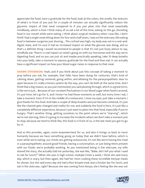appreciate the food, have a gratitude for the food, look at the colors, the smells, the textures of what's in front of you just for a couple of minutes can actually significantly reduce the glycemic impact of that meal compared to if you just plow into that meal essentially mindlessly, which is how I think many of us eat a lot of the time, eating on the go, shoveling food in our mouth while were eating. I think about surgical residency when I was like, I don't think I had a single meal sitting down for four and a half years, I was on the staircase, like eating food in between surgeries just shoving... The cortisol was high, my body was not in a rest-anddigest state, and I'm sure it had an increased impact on what the glucose was doing, and so that's a definite thing I would recommend to people is that it's not just fuzzy advice to say, mindfully eat. There's a real impact on what's going on with our hormones and the way we're digesting food, and so you can just sit and maybe practically speaking, take 10 deep breaths into your belly, take a moment to express gratitude for the food and then eat, it can actually have a significant impact on how your blood sugar raises in response to that meal.

**SHAWN STEVENSON:** Yeah, and if you think about just this concept of taking a moment to pray before you eat, for example, that folks have been doing for centuries, that's kind of calming down, getting centered, going within, and allowing for the parasympathetic door to open because it's really a binary system by the way, you can't do both at the same time. And I think that a big reason, as you just mentioned, you said plowing through, which is a great term, is like we're just... Because of our constant fluctuations in our blood sugar when food is around, it's just time, let's go for it, and I know I've had those moments as well, but every time I eat, I take a moment. Even if I'm in the middle of a restaurant, I close my eyes, just take a moment, I give thanks for the food. And take a couple of deep breaths and just become centered, it's just like the channel gets changed and reality for me, and suddenly the food is here, it's just like a completely different experience, because I just want to plow into that food, especially if you're hungry. That's another thing, getting ourselves to the point where we're "starving", which we're not starving, then it's going to increase the incidents where we don't take a moment just to stop, because we tend to think like, this food is in front of us, is the last meal you got to go for it.

And so this provides, again, more empowerment for us, and also it brings us back to more humanity because we have something going on today that we didn't have before, which is even while we're eating, our minds are getting outsourced, it's not like we're having the meal in a parasympathetic around good friends, having a conversation, or just being there present with our foods, we're probably working. As you mentioned being in the staircase, my wife shared the story, she actually told me yesterday, she was like, "Babe, did I tell you what I used to eat for lunch?" When she was in high school, multiple times a week, I think she said every day, which is scary, but then again, she had her mom cooking these incredible Kenyan meals for dinner, but she said every day she had a Rice Krispie treat and a Snicker bar for lunch, and [eat in the staircase, right? Because she was coming from Kenya, she](https://themodelhealthshow.com/podcasts/dr-casey-means/)'[s feeling like she was not](https://themodelhealthshow.com/podcasts/dr-casey-means/)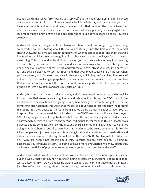fitting in, and I'm just like, "Bro, how did you survive?" But then again, it's going to get balanced out somehow, and I think that if we can reel it back in a little bit, and it's not that you can't have a movie night and eat your dinner, whatever, but if that becomes the norm where your mind is somewhere else than with your food, or with what's happening in reality right there, it's probably not going to have a good out-picturing for our body's response, and so I love this so much.

And one of the other things that I want to ask you about is, and this brings to light something so powerful, I've been talking about this for years, literally since the first year of The Model Health Show, because we still can get tunnel vision when it comes to food, and think that this is everything, which I know that I'm guilty of that because I'm a nutritionist, so food to me was everything. This is the end all be all. But in reality, you can over each your way into creating excessive fat, you can under-exercise or under-move your way into excessive fat, you can under-sleep your way into excessive fat, and you can also over-stress your way into excessive fat, and Levels helps you to see that first hand, that your blood sugar can go nuts just when you're stressed, and if you're chronically in that state, which, hey, we're talking hundreds of millions of people are living in perpetual stress and anxiety, it's no wonder where in this place that we are, it's not just about the food, the food is a major portion of it, for sure, but this is bringing to light how stress and anxiety is such an issue.

And so, the thing that I want to ask you about, and it's going to all tie together, and especially for our time that we're living in right now and talk about solutions, the CDC's report, I've mentioned this several times and going to keep hammering this away till we get it, because something just happened this week that we talked about right before the show, reiterating this point. But they analyzed the data from 540,000-plus COVID-19 patients, over 800 US hospitals. The number one risk factor for death from COVID was obesity, this was back in July 2021. Everybody can see it, a published article, and the second leading cause of death was anxiety and fear-related disorders, the second leading risk factor for that, third risk factor was diabetes and its complications. So, the first and third is something like, Of course, we're not doing anything about it, but of course, but that middle one, the stress component is literally killing people, and I just read a paper this morning looking at an anti-psychotic medication and anti-anxiety medication, reducing the risk of death from COVID. And I'm just like, What the hell? Why are people not talking about this? Because anxiety, that anxiety is going to exacerbate your immune system, it's going to cause more dysfunction, we know about this, we have entire fields of psychoneuroimmunology, years of data. We know this stuff.

And so, this is what I want to ask you about, you mentioned this, that a new report just came out this week, finally saying, hey, you know, being excessively overweight is going to lead to worse outcomes from COVID and losing weight can possibly help to mitigate those things. It's [just like we](https://themodelhealthshow.com/podcasts/dr-casey-means/)'[ve been talking about this for a long time now. But with that said, obesity is](https://themodelhealthshow.com/podcasts/dr-casey-means/)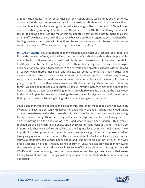arguably the biggest risk factor for these chronic conditions as well, and as you mentioned, abnormal blood sugar ties in very neatly with that, so let's talk about this, how can we address our obesity epidemic? Because right now we're knocking on the door of about 250 million of our citizens being overweight or obese, and this is tied to over 400,000 deaths a year, at least, this is looking at, again, just the major things, diabetes, heart disease, not to mention all the other stuff, so what can we do in the scenario because our blood sugars, as you mentioned it's leading the worst outcomes with infectious diseases as well as chronic diseases, what do you want to see happen? What can we do to get our citizens healthier?

**DR. CASEY MEANS:** You brought up so many great points in what you just said, and I think the first is the concept of fear, which I'll just touch on briefly. I think one thing that people might not realize is that there's just such an incredible bi-directional relationship between metabolic health and mental health, actually people with metabolic dysfunction and blood sugar dysregulation have about twice the rates of depression and anxiety as people without it, and of course, when there's more fear and anxiety, it's going to drive that high cortisol and catecholamines state that leads us to be more metabolically dysfunctional, so they're very, very tied in to each other. And fear and sense of threat in the body and the mind, of course, is going to mobilize this inflammatory cascade in the body that says there's an issue, there's a threat, we need to mobilize our resources, like our immune system, which is the part of the body that fights threats, so we're living in this state where we're just creating the physiology in the body, in part by how we're thinking, that sets us up for dysfunction and concurrently that dysfunction is contributing biologically to what's going on in our mind.

So, it's just an incredible bi-directional relationship, but I think most people are not aware of, if you ask the average person with depression and anxiety, are you tracking your blood sugar, do you know where you stand on the metabolic health spectrum? I think the majority are going to say no, even though there's a strong both epidemiologic and mechanistic linking the two. So then moving into the question of COVID and what I'd like to see happen, I think you've touched on this so much in the show, and I think it's in many episodes, and I think it's so important is that we need to be talking at the highest level of public health about how important it is to optimize our metabolic health and our weight in order to make ourselves biologically resilient to face this virus. The data is so clear, I actually published a paper in the journal Metabolism, sole author paper about, and I submitted this in April of 2020, this was over a year and a half ago. It was published in print in June, I had basically just been reviewing the research up, and it started basically in February of last year about what was going on with COVID, and it was becoming clear that there were several biologic mechanisms that we're leading to worst outcomes in people with Type 2 diabetes or metabolic dysfunction, conditions like obesity.

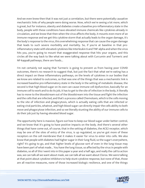And we even knew then that it was not just a correlation, but there were potentially causative mechanistic links of why people were doing worse. Now, which we're seeing a lot more, which is great, but for instance, obesity and diabetes create a baseline pro-inflammatory state in the body, people with these conditions have elevated immune chemicals like cytokines already in circulation, and we know that then when the virus affects the body, it mounts even more of an immune response and we get this cytokine storm that actually leads to the organ damage, it's the body's response to the virus, this overwhelming response that can cause the organ damage that leads to such severe morbidity and mortality. So, if you're at baseline in that proinflammatory state with elevated cytokines like Interleukin 6 and TNF-alpha and when the virus hits you, you're going to mount that exaggerated response that hits your organs, and this circles all the way back to like what we were talking about with Curcumin and Turmeric and NF-kappaB pathways, there are foods...

I'm not certainly not saying that Turmeric is going to prevent us from having poor COVID outcomes, there's no research to suggest that, but just the fact that what we're eating has a direct impact on these inflammatory pathways, on the levels of cytokines in our bodies that we know are related to outcomes, so that was one of the things that was a mechanistic link is increased baseline pro-inflammatory state in the body in the setting of metabolic disease, the second is that high blood sugar on its own can cause immune cell dysfunction, basically for an immune cell to work and to do its job, it has to get to the site of infection in the body, it literally has to move to the bloodstream out of the bloodstream into the tissue and fight the infection and the cells that are infected, and that's a process called Chemotaxis, which is the cells moving to the site of infection and phagocytosis, which is actually eating cells that are infected or eating viral particles, whatnot, and high blood sugar can directly impair the cells ability to both move and phagocytose infection, and so we literally stunting the ability of our immune cells to do their job just by having elevated blood sugar.

The opportunity here is massive, figure out how to keep our blood sugar under better control, and we know that it's going to have positive impacts on the body. And there's several other things that have come out, of course, that in the setting of diabetes, the ACE2 receptor, which may be one of the sites of entry of the virus, is up regulated, so you've got more of these receptors on the cell membrane that it makes it easier for virus to enter into cells. We also know that people with diabetes had higher sugar in their lung fluid, so the sugar's everywhere, right? It's going to go, and that higher levels of glucose sort of even in the lung tissue may have been part of what made... You have the lung tissue, so affected by the virus in people with diabetes, so all of this I went into in this paper a year and a half ago, and really the call to action was, we can talk all we want about mask, we can talk all we want about Clorox. We were talking at that point about cytokine inhibitors to help stunt cytokine response, but none of that, those are all reactive measures, none of those increased biologic resilience, and one of the things

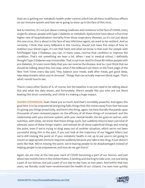that can is getting our metabolic health under control, which has all these multifarious effects on our immune system and how we're going to show up in the face of this virus.

Not to mention, it's not just about creating readiness and resilience in the face of COVID, every single flu season, people with type 2 diabetes or metabolic dysfunction have about a five-time higher rate of hospitalization mortality from these respiratory illnesses, so it's not just about this one virus, this is about in the face of any infectious agent, we want to be resilient. And so certainly, I think that every billboard in the country, should just have five steps of how to stabilize your blood sugar, it's not that hard, and what we know is that even for people with full-fledged Type 2 Diabetes, you can, in many cases, reverse that condition or improve the condition. That's not something we hear a lot. When I was in medical school, I definitely thought Type 2 Diabetes was irreversible. That is not true. And for those 80 million people with pre-diabetes, it's even more likely that you can reverse the disease. And so, I just think that we should be talking about this non-stop, what if the billboard out there or the front page of the New York Times every day said, "Hey, balance your meals, walk after meals, get good sleep, take deep breaths when you're stressed". Things that can actually improve blood sugar. That's what I would love to see.

There's many other facets of it, of course, but the baseline is we just need to be talking about this and what the data shows, and fortunately, there's people like you who are out there beating this drum constantly, and I think it's making a huge impact.

**SHAWN STEVENSON:** Yeah, thank you so much. And that's incredibly powerful. And again, the goal here is to be empowered and giving folks things that this moves away from fear because it's giving you things proactively, and here's the thing, again, we have literally thousands upon thousands of peer-reviewed papers on the efficacy of all these things of movement and the relationship with your immune system, with your mental health, the list goes on and on, with nutrition, with sleep, we know that these things work, but suddenly they've been just kind of silenced, none of these things matter, and instead do all these superficial things and missing the point, even if we're trying to drag away out of another situation, which we've not been successful doing this in the past, if you just look at the trajectory of our biggest killers, but we're still missing the point on if your metabolic health is not up to par you're not going to mount an appropriate immune response suddenly because you take a new drug, it just doesn't work like that. We're missing the point, we're leaving people to be disadvantaged instead of helping people to be empowered, and how do we get there?

Again, we are now at the two-year mark of COVID becoming a part of our lexicon, and just about two months here in the United States, it landing and starting to take over, not just being a part of our lexicon, but just a part of our day-to-day lives, so two years. And within that two [years, we literally could have revolutionized the health of our citizens. I](https://themodelhealthshow.com/podcasts/dr-casey-means/)'[ve seen how quickly](https://themodelhealthshow.com/podcasts/dr-casey-means/)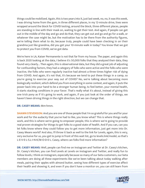things could be mobilized. Again, this is two years into it, just last week, no, no, it was this week, I was driving home from the gym, in three different places, in my 12-minute drive, lines were wrapped around the block for COVID testing, around the block, three different places, people are standing in line with their mask on, waiting to get their test. And again, if people can get out in the middle of the day and go and do that, they can get out and go and go for a walk, or whatever the case might be, but the motivation has to be there from the authority figures, we're telling them what to do, because truly, people could have been checking in on their grandma just like grandma, did you get your 10-minute walk in today? You know that we got to protect you from COVID, we've got data.

We're here in LA, Kaiser Permanente is not that far from my house. The paper, and again this is back 2020 looking at the data, I believe it's 50,000 folks that they analyzed their data, they found very clearly... Then again, this is observational data, but they did a great job of adjusting for confounding factors, they had a category of folks who were active and the folks who were inactive, the folks who were regularly inactive had almost a three times higher risk of dying from COVID. And again, it's not that, it's because we tend to put these things in a camp, so you're going to exercise your way out of COVID? No, we're talking about becoming more biologically resilient, which defend you from everything in some context, and again, it puts the power back into your hand to be a stronger human being, to feel better, your mental health, it starts stacking conditions in your favor. That's really what it's about, instead of giving this one trick pony as if it's going to work, and again, if you just look at the order of things, we haven't been driving things in the right direction, but we can change that.

#### **DR. CASEY MEANS:** Mm-hmm.

**SHAWN STEVENSON:** And you are one of those people that I'm so grateful for you and for your work and for the audacity that you've had to like, you know what? This is where things really work, and this is where we're going to empower people, this is where we're going to provide real proven strategies for things to get folks to a good state of health. And if you can, can you let folks know where they could follow you to get more information, just get more into Dr. Casey Means world? And also, I'll throw it back as well to the link for Levels, again, this is very, very exclusive for us, you get to jump in front of this wait list, go to levels.link/model, so that's L-E-V-E-L-S.L-I-N-K/M-O-D-E-L. Casey, where can folks find more information?

**DR. CASEY MEANS:** Well, people can find me on Instagram and Twitter at Dr. Casey's kitchen, Dr. Casey's kitchen, you can find Levels at Levels on Instagram and Twitter, and really fun to follow levels, I think on Instagram, especially because so many of our beta customers, our beta members are doing all these experiments like we've been talking about today walking after meals, pairing their apples with almond butter, seeing how different types of exercise affect [their health and showing it, and even if you don](https://themodelhealthshow.com/podcasts/dr-casey-means/)'[t have a monitor on, you can still learn from](https://themodelhealthshow.com/podcasts/dr-casey-means/)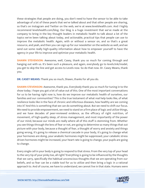these strategies that people are doing, you don't need to have the sensor to be able to take advantage of a lot of these pearls that we've talked about and that other people are sharing, so that's on Instagram and Twitter on the web, we're at www.levelshealth.com. And I highly recommend levelshealth.com/blog. Our blog is a huge investment that we've made at the company to bring in the key thought leaders in metabolic health to talk about a lot of the topics we've been talking about today, and actionable, practical tips that people can use to improve the metabolic health. Again, with or without a sensor on, and so that's a great resource, and yeah, and then you can sign up for our newsletter on the website as well, and we send out some really high-quality information about how to empower yourself to have the agency in your life to improve and optimize your metabolic health.

**SHAWN STEVENSON:** Awesome, well, Casey, thank you so much for coming through and hanging out with us. It's been such a pleasure, and again, everybody go to levels.link/model, you get to skip the line and get access to Levels now. So do that now. Dr. Casey Means, thank you.

**DR. CASEY MEANS:** Thank you so much, Shawn, thanks for all you do.

**SHAWN STEVENSON:** Awesome, thank you. Everybody thank you so much for tuning in to the show today. I hope you got a lot of value out of this. One of the most important conversations for us to be having right now is, how do we improve our metabolic health of ourselves, our families and our communities? This is the true testament of what real help looks like, of what resilience looks like in the face of chronic and infectious diseases, how healthy are we coming into it? And this is something that we can do something about. But we need to shift our focus. We need to provide empowerment, we need to stand on a firm place of logic and utilize things, and we have decades of peer-reviewed evidence, as the efficacy of right nutrition, of movement, of high-quality sleep, of stress management, and most importantly of the power of our mind, because our minds are really where all of this stuff is stemming from. Whether you see things through the lens of fear or not, are going to determine so many things that out picture with your body, because a thought of fear, a thought of worry and anxiety and things going wrong, it's going to release a chemical cascade in your body, it's going to change what your hormones are doing, your anabolic hormones might be suppressed, your catabolic stress driven hormones might be increased, your heart rate is going to change, your pupils are going to change.

Every single cell in your body is going to respond to that stress. From the very top of your head to the very tip of your pinky toe, all right? Everything is going to be influenced by the thoughts that we carry, specifically the habitual unconscious thoughts that we are operating from our beliefs, and so fear can be a viable tool for us to utilize and then bring a logic in a rational approach to. And of course, [we have to understand, we cannot live in that state. Humans were](https://themodelhealthshow.com/podcasts/dr-casey-means/)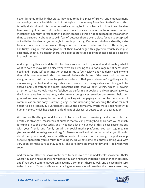never designed to live in that state, they need to be in a place of growth and empowerment and moving towards health instead of just trying to move away from fear. So that's what this is really all about. And this is another really amazing tool for us to start to tune in and be able to affirm, to get accurate information on how our bodies are unique, metabolism are unique, metabolic fingerprint is responding to specific foods. So this is not about tapping into another thing to be neurotic about or to be in fear of, because there's even a place for you to get spiked out with the blood sugar, you know, but most importantly, it's coming into from a healthy state to where our bodies can balance things out, but for most folks, and the truth is, they're habitually living in this dysregulation of their blood sugar, this glycemic variability is just absolutely chaotic, it's just not there, the ability to stay stable to bring things back to a baseline in a healthy state.

And so getting this viable data, this feedback, we can start to pinpoint, and ultimately what I want to do is to move us to a place where we are listening to our bodies again, not necessarily needing different self-quantification things for us to feel healthy, and you don't need any one thing right now, even to do this, but I truly do believe this is one of the great tools that come along in recent history for us to guide ourselves to that place where we're getting viable, empowering feedback and tuning us back into how we feel, tuning us back into being able to analyze and understand the most important data that we exist within, which is paying attention to how we look, how we feel, how we perform, our bodies are always speaking to us, this is where we live, we live here, and ultimately, our greatest solution, our greatest help, our greatest success is going to be found by looking within, paying attention to the wonderful communication our body is always giving us, and unlocking and opening the door for real health to be a continuous unfoldment versus the alternative, which we've seen recently in human history, which has been an unfoldment of disease, of destruction, of degradation.

We can turn this thing around, I believe it. And it starts with us making the decision to be the healthiest, strongest, most resilient humans that we can possibly be. I appreciate you so much for tuning in to the show today, and if you got a lot of value out of this, please share this out with your friends and family on all the social media platforms, you can tag me, I'm @shawnmodel on Instagram and tag Dr. Means as well and let her know what you thought about this episode. And you can send this episode, of course, directly through the podcast app as well. I appreciate you so much for tuning in. We've got some epic shows coming your way very soon, so make sure to stay tuned. Take care, have an amazing day and I'll talk with you soon.

And for more after the show, make sure to head over to themodelhealthshow.com, that's where you can find all of the show notes, you can find transcriptions, videos for each episode, and if you got a comment, you can leave me a comment there as well, and please make sure [to head over to iTunes and leave us a rating to let everybody know that the show is awesome,](https://themodelhealthshow.com/podcasts/dr-casey-means/)